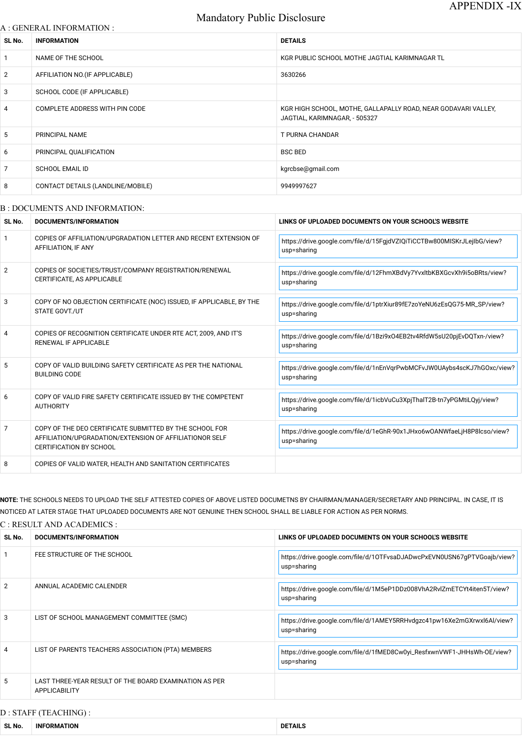# Mandatory Public Disclosure

#### A : GENERAL INFORMATION :

| SL No.          | <b>INFORMATION</b>                | <b>DETAILS</b>                                                                                  |
|-----------------|-----------------------------------|-------------------------------------------------------------------------------------------------|
| $\mathbf{1}$    | NAME OF THE SCHOOL                | KGR PUBLIC SCHOOL MOTHE JAGTIAL KARIMNAGAR TL                                                   |
| $\overline{2}$  | AFFILIATION NO. (IF APPLICABLE)   | 3630266                                                                                         |
| 3               | SCHOOL CODE (IF APPLICABLE)       |                                                                                                 |
| $\overline{4}$  | COMPLETE ADDRESS WITH PIN CODE    | KGR HIGH SCHOOL, MOTHE, GALLAPALLY ROAD, NEAR GODAVARI VALLEY,<br>JAGTIAL, KARIMNAGAR, - 505327 |
| $5\phantom{.0}$ | PRINCIPAL NAME                    | <b>T PURNA CHANDAR</b>                                                                          |
| 6               | PRINCIPAL QUALIFICATION           | <b>BSC BED</b>                                                                                  |
| $\overline{7}$  | <b>SCHOOL EMAIL ID</b>            | kgrcbse@gmail.com                                                                               |
| 8               | CONTACT DETAILS (LANDLINE/MOBILE) | 9949997627                                                                                      |

#### B : DOCUMENTS AND INFORMATION:

| SL No.         | <b>DOCUMENTS/INFORMATION</b>                                                                                                                         | LINKS OF UPLOADED DOCUMENTS ON YOUR SCHOOL'S WEBSITE                                   |  |
|----------------|------------------------------------------------------------------------------------------------------------------------------------------------------|----------------------------------------------------------------------------------------|--|
|                | COPIES OF AFFILIATION/UPGRADATION LETTER AND RECENT EXTENSION OF<br>AFFILIATION, IF ANY                                                              | https://drive.google.com/file/d/15FgjdVZIQiTiCCTBw800MISKrJLejIbG/view?<br>usp=sharing |  |
| $\overline{2}$ | COPIES OF SOCIETIES/TRUST/COMPANY REGISTRATION/RENEWAL<br>CERTIFICATE, AS APPLICABLE                                                                 | https://drive.google.com/file/d/12FhmXBdVy7YvxltbKBXGcvXh9i5oBRts/view?<br>usp=sharing |  |
| 3              | COPY OF NO OBJECTION CERTIFICATE (NOC) ISSUED, IF APPLICABLE, BY THE<br>STATE GOVT./UT                                                               | https://drive.google.com/file/d/1ptrXiur89fE7zoYeNU6zEsQG75-MR_SP/view?<br>usp=sharing |  |
| 4              | COPIES OF RECOGNITION CERTIFICATE UNDER RTE ACT, 2009, AND IT'S<br>RENEWAL IF APPLICABLE                                                             | https://drive.google.com/file/d/1Bzi9xO4EB2tv4RfdW5sU20pjEvDQTxn-/view?<br>usp=sharing |  |
| 5              | COPY OF VALID BUILDING SAFETY CERTIFICATE AS PER THE NATIONAL<br><b>BUILDING CODE</b>                                                                | https://drive.google.com/file/d/1nEnVqrPwbMCFvJW0UAybs4scKJ7hGOxc/view?<br>usp=sharing |  |
| 6              | COPY OF VALID FIRE SAFETY CERTIFICATE ISSUED BY THE COMPETENT<br><b>AUTHORITY</b>                                                                    | https://drive.google.com/file/d/1icbVuCu3XpjThalT2B-tn7yPGMtiLQyj/view?<br>usp=sharing |  |
| 7              | COPY OF THE DEO CERTIFICATE SUBMITTED BY THE SCHOOL FOR<br>AFFILIATION/UPGRADATION/EXTENSION OF AFFILIATIONOR SELF<br><b>CERTIFICATION BY SCHOOL</b> | https://drive.google.com/file/d/1eGhR-90x1JHxo6wOANWfaeLjH8P8lcso/view?<br>usp=sharing |  |
| 8              | COPIES OF VALID WATER, HEALTH AND SANITATION CERTIFICATES                                                                                            |                                                                                        |  |

NOTE: THE SCHOOLS NEEDS TO UPLOAD THE SELF ATTESTED COPIES OF ABOVE LISTED DOCUMETNS BY CHAIRMAN/MANAGER/SECRETARY AND PRINCIPAL. IN CASE, IT IS NOTICED AT LATER STAGE THAT UPLOADED DOCUMENTS ARE NOT GENUINE THEN SCHOOL SHALL BE LIABLE FOR ACTION AS PER NORMS.

## C : RESULT AND ACADEMICS :

| SL No. | DOCUMENTS/INFORMATION       | LINKS OF UPLOADED DOCUMENTS ON YOUR SCHOOL'S WEBSITE                    |  |
|--------|-----------------------------|-------------------------------------------------------------------------|--|
|        | FEE STRUCTURE OF THE SCHOOL | https://drive.google.com/file/d/10TFvsaDJADwcPxEVN0USN67qPTVGoajb/view? |  |

|                |                                                                         | usp=sharing                                                                            |
|----------------|-------------------------------------------------------------------------|----------------------------------------------------------------------------------------|
| $\overline{2}$ | ANNUAL ACADEMIC CALENDER                                                | https://drive.google.com/file/d/1M5eP1DDz008VhA2RvlZmETCYt4iten5T/view?<br>usp=sharing |
| 3              | LIST OF SCHOOL MANAGEMENT COMMITTEE (SMC)                               | https://drive.google.com/file/d/1AMEY5RRHvdgzc41pw16Xe2mGXrwxl6Al/view?<br>usp=sharing |
| $\overline{4}$ | LIST OF PARENTS TEACHERS ASSOCIATION (PTA) MEMBERS                      | https://drive.google.com/file/d/1fMED8Cw0yi_ResfxwnVWF1-JHHsWh-OE/view?<br>usp=sharing |
| 5              | LAST THREE-YEAR RESULT OF THE BOARD EXAMINATION AS PER<br>APPLICABILITY |                                                                                        |

## D : STAFF (TEACHING) :

| SL No. | <b>INFORMATION</b> | <b>DETAILS</b> |
|--------|--------------------|----------------|
|--------|--------------------|----------------|